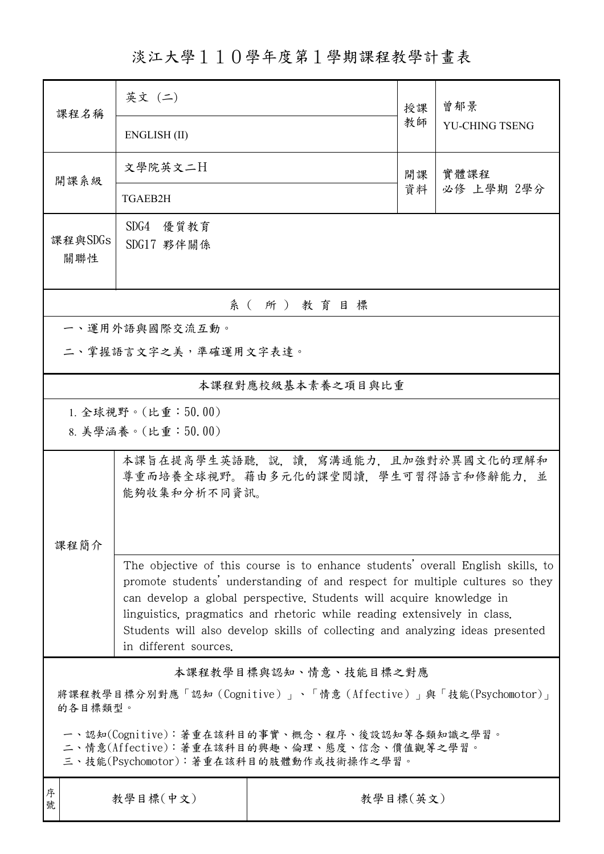淡江大學110學年度第1學期課程教學計畫表

| 課程名稱                                                                                                                                                                                                                                                                                                                                                                                                                          | 英文 (二)                                                                                     |          | 授課 | 曾郁景<br>YU-CHING TSENG |  |  |  |  |
|-------------------------------------------------------------------------------------------------------------------------------------------------------------------------------------------------------------------------------------------------------------------------------------------------------------------------------------------------------------------------------------------------------------------------------|--------------------------------------------------------------------------------------------|----------|----|-----------------------|--|--|--|--|
|                                                                                                                                                                                                                                                                                                                                                                                                                               | ENGLISH (II)                                                                               |          | 教師 |                       |  |  |  |  |
| 開課系級                                                                                                                                                                                                                                                                                                                                                                                                                          | 文學院英文二日                                                                                    |          | 開課 | 實體課程<br>必修 上學期 2學分    |  |  |  |  |
|                                                                                                                                                                                                                                                                                                                                                                                                                               | TGAEB2H                                                                                    |          | 資料 |                       |  |  |  |  |
| 課程與SDGs                                                                                                                                                                                                                                                                                                                                                                                                                       | SDG4 優質教育<br>SDG17 夥伴關係                                                                    |          |    |                       |  |  |  |  |
| 關聯性                                                                                                                                                                                                                                                                                                                                                                                                                           |                                                                                            |          |    |                       |  |  |  |  |
| 系(所)教育目標                                                                                                                                                                                                                                                                                                                                                                                                                      |                                                                                            |          |    |                       |  |  |  |  |
|                                                                                                                                                                                                                                                                                                                                                                                                                               | 一、運用外語與國際交流互動。                                                                             |          |    |                       |  |  |  |  |
| 二、掌握語言文字之美,準確運用文字表達。                                                                                                                                                                                                                                                                                                                                                                                                          |                                                                                            |          |    |                       |  |  |  |  |
| 本課程對應校級基本素養之項目與比重                                                                                                                                                                                                                                                                                                                                                                                                             |                                                                                            |          |    |                       |  |  |  |  |
| 1. 全球視野。(比重:50.00)                                                                                                                                                                                                                                                                                                                                                                                                            |                                                                                            |          |    |                       |  |  |  |  |
|                                                                                                                                                                                                                                                                                                                                                                                                                               | 8. 美學涵養。(比重:50.00)                                                                         |          |    |                       |  |  |  |  |
|                                                                                                                                                                                                                                                                                                                                                                                                                               | 本課旨在提高學生英語聽,說,讀,寫溝通能力,且加強對於異國文化的理解和<br>尊重而培養全球視野。藉由多元化的課堂閱讀,學生可習得語言和修辭能力,並<br>能夠收集和分析不同資訊。 |          |    |                       |  |  |  |  |
| 课程简介                                                                                                                                                                                                                                                                                                                                                                                                                          |                                                                                            |          |    |                       |  |  |  |  |
| The objective of this course is to enhance students' overall English skills, to<br>promote students' understanding of and respect for multiple cultures so they<br>can develop a global perspective. Students will acquire knowledge in<br>linguistics, pragmatics and rhetoric while reading extensively in class.<br>Students will also develop skills of collecting and analyzing ideas presented<br>in different sources. |                                                                                            |          |    |                       |  |  |  |  |
| 本課程教學目標與認知、情意、技能目標之對應                                                                                                                                                                                                                                                                                                                                                                                                         |                                                                                            |          |    |                       |  |  |  |  |
| 將課程教學目標分別對應「認知(Cognitive)」、「情意(Affective)」與「技能(Psychomotor)」<br>的各目標類型。                                                                                                                                                                                                                                                                                                                                                       |                                                                                            |          |    |                       |  |  |  |  |
| 一、認知(Cognitive):著重在該科目的事實、概念、程序、後設認知等各類知識之學習。<br>二、情意(Affective):著重在該科目的興趣、倫理、態度、信念、價值觀等之學習。<br>三、技能(Psychomotor):著重在該科目的肢體動作或技術操作之學習。                                                                                                                                                                                                                                                                                        |                                                                                            |          |    |                       |  |  |  |  |
| 序<br>教學目標(中文)<br>號                                                                                                                                                                                                                                                                                                                                                                                                            |                                                                                            | 教學目標(英文) |    |                       |  |  |  |  |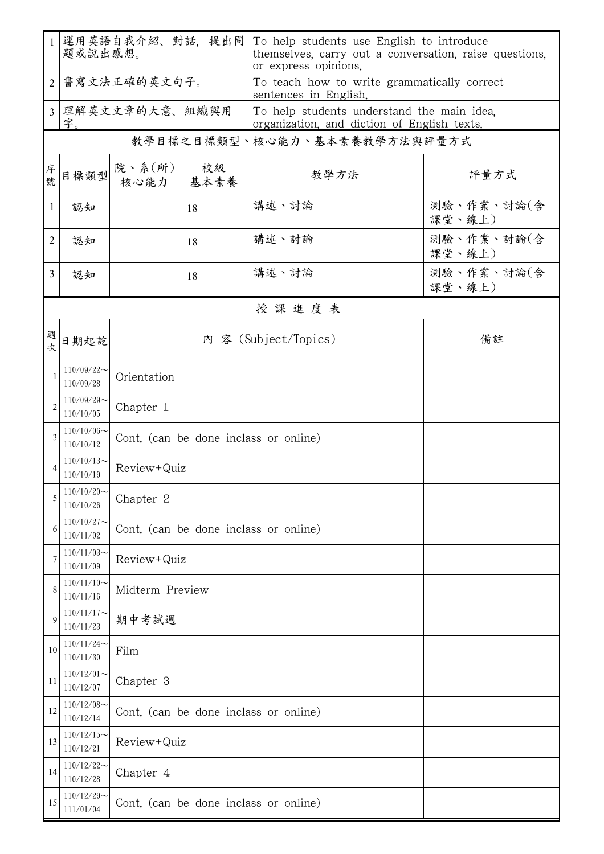| $\mathbf{1}$   | 運用英語自我介紹、對話, 提出問<br>題或說出感想。                                                 |                                       |            | To help students use English to introduce<br>themselves, carry out a conversation, raise questions, |                      |  |  |  |
|----------------|-----------------------------------------------------------------------------|---------------------------------------|------------|-----------------------------------------------------------------------------------------------------|----------------------|--|--|--|
| $\overline{2}$ | 書寫文法正確的英文句子。                                                                |                                       |            | or express opinions.<br>To teach how to write grammatically correct                                 |                      |  |  |  |
| $\overline{3}$ | 字。                                                                          | 理解英文文章的大意、組織與用                        |            | sentences in English.<br>To help students understand the main idea,                                 |                      |  |  |  |
|                | organization, and diction of English texts.<br>教學目標之目標類型、核心能力、基本素養教學方法與評量方式 |                                       |            |                                                                                                     |                      |  |  |  |
| 序號             | 目標類型                                                                        | 院、系 $(\text{m})$<br>核心能力              | 校級<br>基本素養 | 教學方法                                                                                                | 評量方式                 |  |  |  |
| 1              | 認知                                                                          |                                       | 18         | 講述、討論                                                                                               | 測驗、作業、討論(含<br>課堂、線上) |  |  |  |
| 2              | 認知                                                                          |                                       | 18         | 講述、討論                                                                                               | 測驗、作業、討論(含<br>課堂、線上) |  |  |  |
| 3              | 認知                                                                          |                                       | 18         | 講述、討論                                                                                               | 測驗、作業、討論(含<br>課堂、線上) |  |  |  |
|                | 授課進度表                                                                       |                                       |            |                                                                                                     |                      |  |  |  |
| 週次             | 日期起訖                                                                        | 內 容 (Subject/Topics)                  |            |                                                                                                     | 備註                   |  |  |  |
| $\mathbf{1}$   | $110/09/22$ ~<br>110/09/28                                                  | Orientation                           |            |                                                                                                     |                      |  |  |  |
| $\overline{c}$ | $110/09/29$ ~<br>110/10/05                                                  | Chapter 1                             |            |                                                                                                     |                      |  |  |  |
| 3              | $110/10/06$ ~<br>110/10/12                                                  | Cont. (can be done inclass or online) |            |                                                                                                     |                      |  |  |  |
| 4              | $110/10/13$ ~<br>110/10/19                                                  | Review+Quiz                           |            |                                                                                                     |                      |  |  |  |
| 5              | $110/10/20$ ~<br>110/10/26                                                  | Chapter 2                             |            |                                                                                                     |                      |  |  |  |
| 6              | $110/10/27$ ~<br>110/11/02                                                  | Cont. (can be done inclass or online) |            |                                                                                                     |                      |  |  |  |
| 7              | $110/11/03$ ~<br>110/11/09                                                  | Review+Quiz                           |            |                                                                                                     |                      |  |  |  |
| 8              | $110/11/10$ ~<br>110/11/16                                                  | Midterm Preview                       |            |                                                                                                     |                      |  |  |  |
| 9              | $110/11/17$ ~<br>110/11/23                                                  | 期中考試週                                 |            |                                                                                                     |                      |  |  |  |
| 10             | $110/11/24$ ~<br>110/11/30                                                  | Film                                  |            |                                                                                                     |                      |  |  |  |
| 11             | $110/12/01$ ~<br>110/12/07                                                  | Chapter 3                             |            |                                                                                                     |                      |  |  |  |
| 12             | $110/12/08$ ~<br>110/12/14                                                  | Cont. (can be done inclass or online) |            |                                                                                                     |                      |  |  |  |
| 13             | $110/12/15$ ~<br>110/12/21                                                  | Review+Quiz                           |            |                                                                                                     |                      |  |  |  |
| 14             | $110/12/22$ ~<br>110/12/28                                                  | Chapter 4                             |            |                                                                                                     |                      |  |  |  |
| 15             | $110/12/29$ ~<br>111/01/04                                                  | Cont. (can be done inclass or online) |            |                                                                                                     |                      |  |  |  |